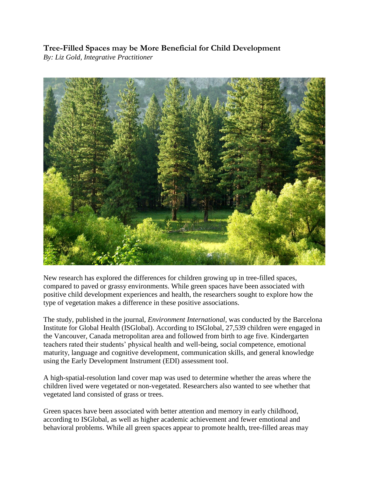**Tree-Filled Spaces may be More Beneficial for Child Development** *By: Liz Gold, Integrative Practitioner* 



New research has explored the differences for children growing up in tree-filled spaces, compared to paved or grassy environments. While green spaces have been associated with positive child development experiences and health, the researchers sought to explore how the type of vegetation makes a difference in these positive associations.

The study, published in the journal, *[Environment International,](https://www.sciencedirect.com/science/article/pii/S0160412022001222?via%3Dihub)* was conducted by the Barcelona Institute for Global Health (ISGlobal). According to [ISGlobal,](https://www.isglobal.org/en/-/un-estudio-sugiere-espacios-verdes-arbolados-resultan-mas-favorables-para-desarrollo-infantil-que-superficies-pavimentadas-o-cubiertas-de-hierba) 27,539 children were engaged in the Vancouver, Canada metropolitan area and followed from birth to age five. Kindergarten teachers rated their students' physical health and well-being, social competence, emotional maturity, language and cognitive development, communication skills, and general knowledge using the Early Development Instrument (EDI) assessment tool.

A high-spatial-resolution land cover map was used to determine whether the areas where the children lived were vegetated or non-vegetated. Researchers also wanted to see whether that vegetated land consisted of grass or trees.

Green spaces have been associated with better attention and memory in early childhood, according to [ISGlobal,](https://www.isglobal.org/en/-/un-estudio-sugiere-espacios-verdes-arbolados-resultan-mas-favorables-para-desarrollo-infantil-que-superficies-pavimentadas-o-cubiertas-de-hierba) as well as higher academic achievement and fewer emotional and behavioral problems. While all green spaces appear to promote health, tree-filled areas may